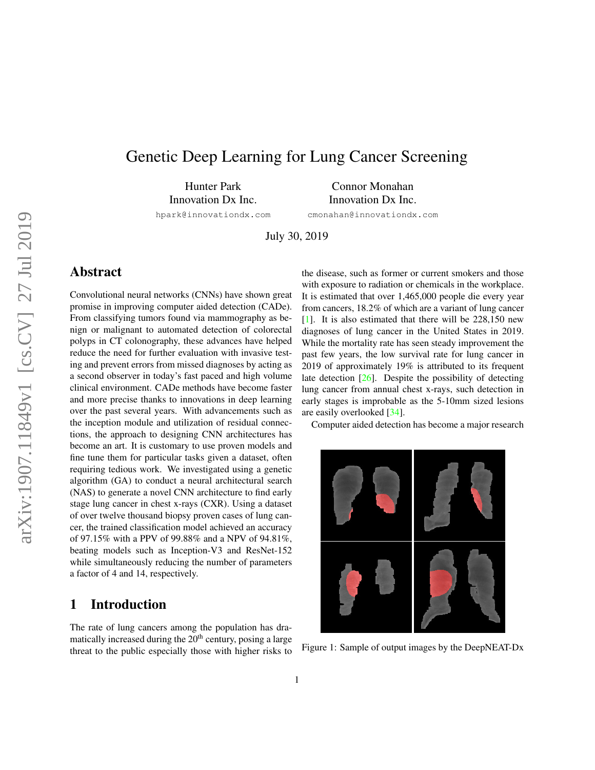# <span id="page-0-1"></span>Genetic Deep Learning for Lung Cancer Screening

Hunter Park Innovation Dx Inc.

Connor Monahan Innovation Dx Inc.

hpark@innovationdx.com

cmonahan@innovationdx.com

July 30, 2019

# Abstract

Convolutional neural networks (CNNs) have shown great promise in improving computer aided detection (CADe). From classifying tumors found via mammography as benign or malignant to automated detection of colorectal polyps in CT colonography, these advances have helped reduce the need for further evaluation with invasive testing and prevent errors from missed diagnoses by acting as a second observer in today's fast paced and high volume clinical environment. CADe methods have become faster and more precise thanks to innovations in deep learning over the past several years. With advancements such as the inception module and utilization of residual connections, the approach to designing CNN architectures has become an art. It is customary to use proven models and fine tune them for particular tasks given a dataset, often requiring tedious work. We investigated using a genetic algorithm (GA) to conduct a neural architectural search (NAS) to generate a novel CNN architecture to find early stage lung cancer in chest x-rays (CXR). Using a dataset of over twelve thousand biopsy proven cases of lung cancer, the trained classification model achieved an accuracy of 97.15% with a PPV of 99.88% and a NPV of 94.81%, beating models such as Inception-V3 and ResNet-152 while simultaneously reducing the number of parameters a factor of 4 and 14, respectively.

# 1 Introduction

The rate of lung cancers among the population has dramatically increased during the  $20<sup>th</sup>$  century, posing a large threat to the public especially those with higher risks to the disease, such as former or current smokers and those with exposure to radiation or chemicals in the workplace. It is estimated that over 1,465,000 people die every year from cancers, 18.2% of which are a variant of lung cancer [\[1\]](#page-7-0). It is also estimated that there will be 228,150 new diagnoses of lung cancer in the United States in 2019. While the mortality rate has seen steady improvement the past few years, the low survival rate for lung cancer in 2019 of approximately 19% is attributed to its frequent late detection [\[26\]](#page-8-0). Despite the possibility of detecting lung cancer from annual chest x-rays, such detection in early stages is improbable as the 5-10mm sized lesions are easily overlooked [\[34\]](#page-8-1).

Computer aided detection has become a major research

<span id="page-0-0"></span>

Figure 1: Sample of output images by the DeepNEAT-Dx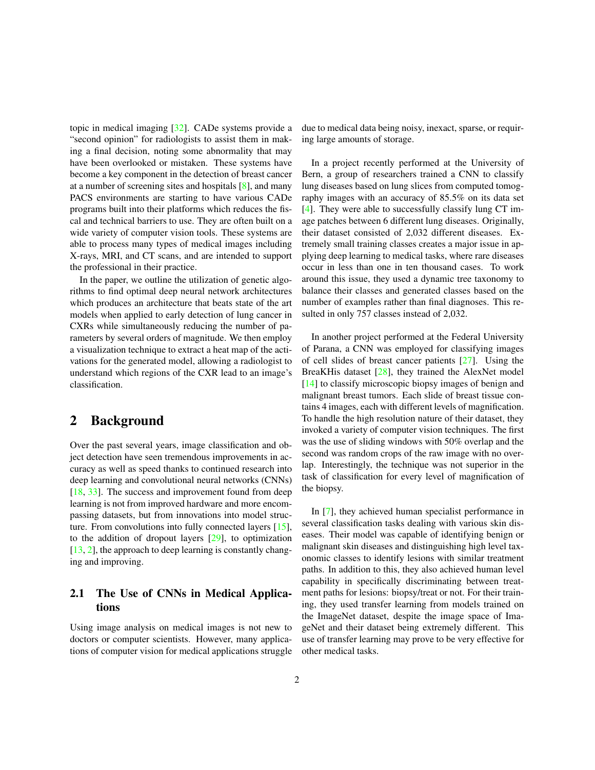<span id="page-1-0"></span>topic in medical imaging [\[32\]](#page-8-2). CADe systems provide a "second opinion" for radiologists to assist them in making a final decision, noting some abnormality that may have been overlooked or mistaken. These systems have become a key component in the detection of breast cancer at a number of screening sites and hospitals [\[8\]](#page-7-1), and many PACS environments are starting to have various CADe programs built into their platforms which reduces the fiscal and technical barriers to use. They are often built on a wide variety of computer vision tools. These systems are able to process many types of medical images including X-rays, MRI, and CT scans, and are intended to support the professional in their practice.

In the paper, we outline the utilization of genetic algorithms to find optimal deep neural network architectures which produces an architecture that beats state of the art models when applied to early detection of lung cancer in CXRs while simultaneously reducing the number of parameters by several orders of magnitude. We then employ a visualization technique to extract a heat map of the activations for the generated model, allowing a radiologist to understand which regions of the CXR lead to an image's classification.

# 2 Background

Over the past several years, image classification and object detection have seen tremendous improvements in accuracy as well as speed thanks to continued research into deep learning and convolutional neural networks (CNNs) [\[18,](#page-8-3) [33\]](#page-8-4). The success and improvement found from deep learning is not from improved hardware and more encompassing datasets, but from innovations into model structure. From convolutions into fully connected layers [\[15\]](#page-8-5), to the addition of dropout layers [\[29\]](#page-8-6), to optimization [\[13,](#page-8-7) [2\]](#page-7-2), the approach to deep learning is constantly changing and improving.

## 2.1 The Use of CNNs in Medical Applications

Using image analysis on medical images is not new to doctors or computer scientists. However, many applications of computer vision for medical applications struggle due to medical data being noisy, inexact, sparse, or requiring large amounts of storage.

In a project recently performed at the University of Bern, a group of researchers trained a CNN to classify lung diseases based on lung slices from computed tomography images with an accuracy of 85.5% on its data set [\[4\]](#page-7-3). They were able to successfully classify lung CT image patches between 6 different lung diseases. Originally, their dataset consisted of 2,032 different diseases. Extremely small training classes creates a major issue in applying deep learning to medical tasks, where rare diseases occur in less than one in ten thousand cases. To work around this issue, they used a dynamic tree taxonomy to balance their classes and generated classes based on the number of examples rather than final diagnoses. This resulted in only 757 classes instead of 2,032.

In another project performed at the Federal University of Parana, a CNN was employed for classifying images of cell slides of breast cancer patients [\[27\]](#page-8-8). Using the BreaKHis dataset [\[28\]](#page-8-9), they trained the AlexNet model [\[14\]](#page-8-10) to classify microscopic biopsy images of benign and malignant breast tumors. Each slide of breast tissue contains 4 images, each with different levels of magnification. To handle the high resolution nature of their dataset, they invoked a variety of computer vision techniques. The first was the use of sliding windows with 50% overlap and the second was random crops of the raw image with no overlap. Interestingly, the technique was not superior in the task of classification for every level of magnification of the biopsy.

In [\[7\]](#page-7-4), they achieved human specialist performance in several classification tasks dealing with various skin diseases. Their model was capable of identifying benign or malignant skin diseases and distinguishing high level taxonomic classes to identify lesions with similar treatment paths. In addition to this, they also achieved human level capability in specifically discriminating between treatment paths for lesions: biopsy/treat or not. For their training, they used transfer learning from models trained on the ImageNet dataset, despite the image space of ImageNet and their dataset being extremely different. This use of transfer learning may prove to be very effective for other medical tasks.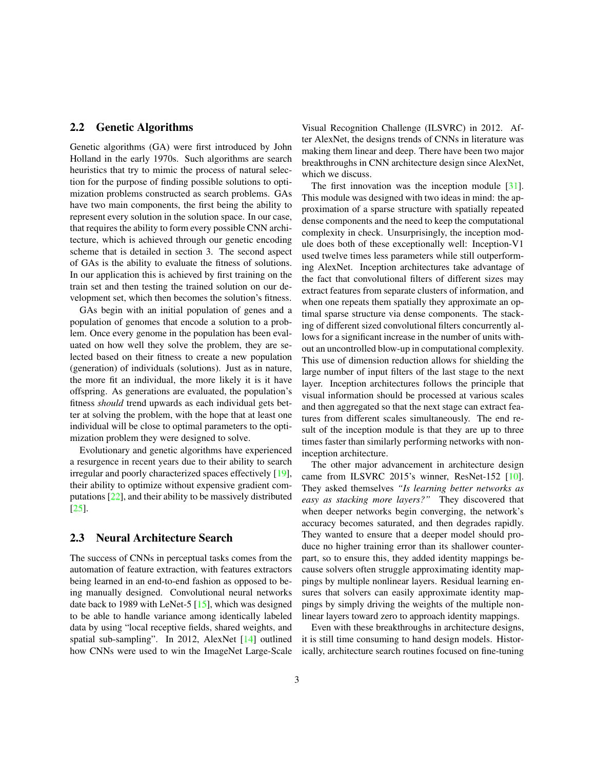#### <span id="page-2-0"></span>2.2 Genetic Algorithms

Genetic algorithms (GA) were first introduced by John Holland in the early 1970s. Such algorithms are search heuristics that try to mimic the process of natural selection for the purpose of finding possible solutions to optimization problems constructed as search problems. GAs have two main components, the first being the ability to represent every solution in the solution space. In our case, that requires the ability to form every possible CNN architecture, which is achieved through our genetic encoding scheme that is detailed in section 3. The second aspect of GAs is the ability to evaluate the fitness of solutions. In our application this is achieved by first training on the train set and then testing the trained solution on our development set, which then becomes the solution's fitness.

GAs begin with an initial population of genes and a population of genomes that encode a solution to a problem. Once every genome in the population has been evaluated on how well they solve the problem, they are selected based on their fitness to create a new population (generation) of individuals (solutions). Just as in nature, the more fit an individual, the more likely it is it have offspring. As generations are evaluated, the population's fitness *should* trend upwards as each individual gets better at solving the problem, with the hope that at least one individual will be close to optimal parameters to the optimization problem they were designed to solve.

Evolutionary and genetic algorithms have experienced a resurgence in recent years due to their ability to search irregular and poorly characterized spaces effectively [\[19\]](#page-8-11), their ability to optimize without expensive gradient computations [\[22\]](#page-8-12), and their ability to be massively distributed [\[25\]](#page-8-13).

#### 2.3 Neural Architecture Search

The success of CNNs in perceptual tasks comes from the automation of feature extraction, with features extractors being learned in an end-to-end fashion as opposed to being manually designed. Convolutional neural networks date back to 1989 with LeNet-5 [\[15\]](#page-8-5), which was designed to be able to handle variance among identically labeled data by using "local receptive fields, shared weights, and spatial sub-sampling". In 2012, AlexNet [\[14\]](#page-8-10) outlined how CNNs were used to win the ImageNet Large-Scale Visual Recognition Challenge (ILSVRC) in 2012. After AlexNet, the designs trends of CNNs in literature was making them linear and deep. There have been two major breakthroughs in CNN architecture design since AlexNet, which we discuss.

The first innovation was the inception module [\[31\]](#page-8-14). This module was designed with two ideas in mind: the approximation of a sparse structure with spatially repeated dense components and the need to keep the computational complexity in check. Unsurprisingly, the inception module does both of these exceptionally well: Inception-V1 used twelve times less parameters while still outperforming AlexNet. Inception architectures take advantage of the fact that convolutional filters of different sizes may extract features from separate clusters of information, and when one repeats them spatially they approximate an optimal sparse structure via dense components. The stacking of different sized convolutional filters concurrently allows for a significant increase in the number of units without an uncontrolled blow-up in computational complexity. This use of dimension reduction allows for shielding the large number of input filters of the last stage to the next layer. Inception architectures follows the principle that visual information should be processed at various scales and then aggregated so that the next stage can extract features from different scales simultaneously. The end result of the inception module is that they are up to three times faster than similarly performing networks with noninception architecture.

The other major advancement in architecture design came from ILSVRC 2015's winner, ResNet-152 [\[10\]](#page-8-15). They asked themselves *"Is learning better networks as easy as stacking more layers?"* They discovered that when deeper networks begin converging, the network's accuracy becomes saturated, and then degrades rapidly. They wanted to ensure that a deeper model should produce no higher training error than its shallower counterpart, so to ensure this, they added identity mappings because solvers often struggle approximating identity mappings by multiple nonlinear layers. Residual learning ensures that solvers can easily approximate identity mappings by simply driving the weights of the multiple nonlinear layers toward zero to approach identity mappings.

Even with these breakthroughs in architecture designs, it is still time consuming to hand design models. Historically, architecture search routines focused on fine-tuning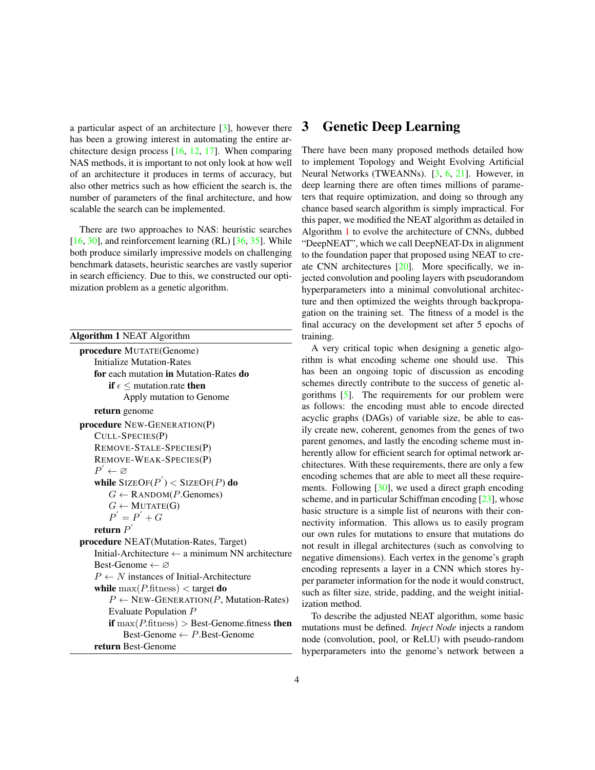<span id="page-3-1"></span>a particular aspect of an architecture [\[3\]](#page-7-5), however there has been a growing interest in automating the entire architecture design process  $[16, 12, 17]$  $[16, 12, 17]$  $[16, 12, 17]$  $[16, 12, 17]$  $[16, 12, 17]$ . When comparing NAS methods, it is important to not only look at how well of an architecture it produces in terms of accuracy, but also other metrics such as how efficient the search is, the number of parameters of the final architecture, and how scalable the search can be implemented.

There are two approaches to NAS: heuristic searches  $[16, 30]$  $[16, 30]$  $[16, 30]$ , and reinforcement learning (RL)  $[36, 35]$  $[36, 35]$  $[36, 35]$ . While both produce similarly impressive models on challenging benchmark datasets, heuristic searches are vastly superior in search efficiency. Due to this, we constructed our optimization problem as a genetic algorithm.

<span id="page-3-0"></span>Algorithm 1 NEAT Algorithm

```
procedure MUTATE(Genome)
   Initialize Mutation-Rates
   for each mutation in Mutation-Rates do
        if \epsilon < mutation.rate then
           Apply mutation to Genome
   return genome
procedure NEW-GENERATION(P)
   CULL-SPECIES(P)
   REMOVE-STALE-SPECIES(P)
   REMOVE-WEAK-SPECIES(P)
    P^{'} \leftarrow \varnothingwhile \operatorname{SizeOF}(P^{'}) < \operatorname{SizeOF}(P) do
        G \leftarrow RANDOM(P.Genomes)
        G \leftarrow MUTATE(G)
        P' = P' + Greturn P^{'}procedure NEAT(Mutation-Rates, Target)
   Initial-Architecture \leftarrow a minimum NN architecture
   Best-Genome \leftarrow \varnothingP \leftarrow N instances of Initial-Architecture
   while \max(P.\text{fitness}) < \text{target do}P \leftarrow NEW-GENERATION(P, Mutation-Rates)
       Evaluate Population P
       if max(P.fitness) > Best-Genome.fitness then
           Best-Genome \leftarrow P. Best-Genome
   return Best-Genome
```
## 3 Genetic Deep Learning

There have been many proposed methods detailed how to implement Topology and Weight Evolving Artificial Neural Networks (TWEANNs). [\[3,](#page-7-5) [6,](#page-7-6) [21\]](#page-8-21). However, in deep learning there are often times millions of parameters that require optimization, and doing so through any chance based search algorithm is simply impractical. For this paper, we modified the NEAT algorithm as detailed in Algorithm [1](#page-3-0) to evolve the architecture of CNNs, dubbed "DeepNEAT", which we call DeepNEAT-Dx in alignment to the foundation paper that proposed using NEAT to create CNN architectures [\[20\]](#page-8-22). More specifically, we injected convolution and pooling layers with pseudorandom hyperparameters into a minimal convolutional architecture and then optimized the weights through backpropagation on the training set. The fitness of a model is the final accuracy on the development set after 5 epochs of training.

A very critical topic when designing a genetic algorithm is what encoding scheme one should use. This has been an ongoing topic of discussion as encoding schemes directly contribute to the success of genetic algorithms [\[5\]](#page-7-7). The requirements for our problem were as follows: the encoding must able to encode directed acyclic graphs (DAGs) of variable size, be able to easily create new, coherent, genomes from the genes of two parent genomes, and lastly the encoding scheme must inherently allow for efficient search for optimal network architectures. With these requirements, there are only a few encoding schemes that are able to meet all these requirements. Following [\[30\]](#page-8-19), we used a direct graph encoding scheme, and in particular Schiffman encoding [\[23\]](#page-8-23), whose basic structure is a simple list of neurons with their connectivity information. This allows us to easily program our own rules for mutations to ensure that mutations do not result in illegal architectures (such as convolving to negative dimensions). Each vertex in the genome's graph encoding represents a layer in a CNN which stores hyper parameter information for the node it would construct, such as filter size, stride, padding, and the weight initialization method.

To describe the adjusted NEAT algorithm, some basic mutations must be defined. *Inject Node* injects a random node (convolution, pool, or ReLU) with pseudo-random hyperparameters into the genome's network between a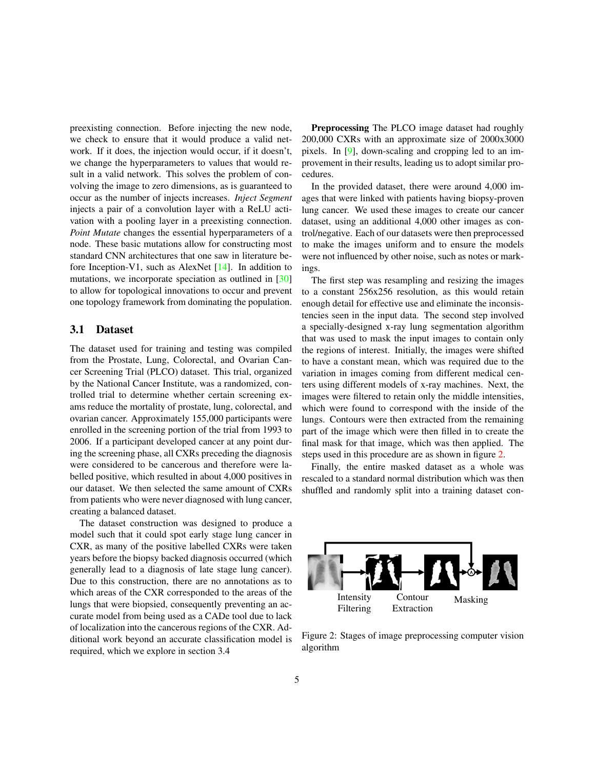<span id="page-4-1"></span>preexisting connection. Before injecting the new node, we check to ensure that it would produce a valid network. If it does, the injection would occur, if it doesn't, we change the hyperparameters to values that would result in a valid network. This solves the problem of convolving the image to zero dimensions, as is guaranteed to occur as the number of injects increases. *Inject Segment* injects a pair of a convolution layer with a ReLU activation with a pooling layer in a preexisting connection. *Point Mutate* changes the essential hyperparameters of a node. These basic mutations allow for constructing most standard CNN architectures that one saw in literature before Inception-V1, such as AlexNet [\[14\]](#page-8-10). In addition to mutations, we incorporate speciation as outlined in [\[30\]](#page-8-19) to allow for topological innovations to occur and prevent one topology framework from dominating the population.

### 3.1 Dataset

The dataset used for training and testing was compiled from the Prostate, Lung, Colorectal, and Ovarian Cancer Screening Trial (PLCO) dataset. This trial, organized by the National Cancer Institute, was a randomized, controlled trial to determine whether certain screening exams reduce the mortality of prostate, lung, colorectal, and ovarian cancer. Approximately 155,000 participants were enrolled in the screening portion of the trial from 1993 to 2006. If a participant developed cancer at any point during the screening phase, all CXRs preceding the diagnosis were considered to be cancerous and therefore were labelled positive, which resulted in about 4,000 positives in our dataset. We then selected the same amount of CXRs from patients who were never diagnosed with lung cancer, creating a balanced dataset.

The dataset construction was designed to produce a model such that it could spot early stage lung cancer in CXR, as many of the positive labelled CXRs were taken years before the biopsy backed diagnosis occurred (which generally lead to a diagnosis of late stage lung cancer). Due to this construction, there are no annotations as to which areas of the CXR corresponded to the areas of the lungs that were biopsied, consequently preventing an accurate model from being used as a CADe tool due to lack of localization into the cancerous regions of the CXR. Additional work beyond an accurate classification model is required, which we explore in section 3.4

Preprocessing The PLCO image dataset had roughly 200,000 CXRs with an approximate size of 2000x3000 pixels. In [\[9\]](#page-7-8), down-scaling and cropping led to an improvement in their results, leading us to adopt similar procedures.

In the provided dataset, there were around 4,000 images that were linked with patients having biopsy-proven lung cancer. We used these images to create our cancer dataset, using an additional 4,000 other images as control/negative. Each of our datasets were then preprocessed to make the images uniform and to ensure the models were not influenced by other noise, such as notes or markings.

The first step was resampling and resizing the images to a constant 256x256 resolution, as this would retain enough detail for effective use and eliminate the inconsistencies seen in the input data. The second step involved a specially-designed x-ray lung segmentation algorithm that was used to mask the input images to contain only the regions of interest. Initially, the images were shifted to have a constant mean, which was required due to the variation in images coming from different medical centers using different models of x-ray machines. Next, the images were filtered to retain only the middle intensities, which were found to correspond with the inside of the lungs. Contours were then extracted from the remaining part of the image which were then filled in to create the final mask for that image, which was then applied. The steps used in this procedure are as shown in figure [2.](#page-4-0)

Finally, the entire masked dataset as a whole was rescaled to a standard normal distribution which was then shuffled and randomly split into a training dataset con-

<span id="page-4-0"></span>

Figure 2: Stages of image preprocessing computer vision algorithm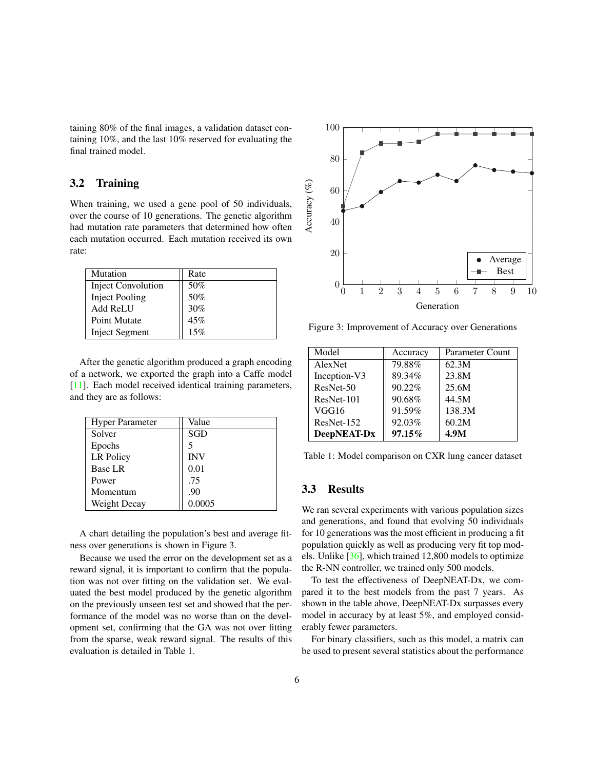<span id="page-5-0"></span>taining 80% of the final images, a validation dataset containing 10%, and the last 10% reserved for evaluating the final trained model.

#### 3.2 Training

When training, we used a gene pool of 50 individuals, over the course of 10 generations. The genetic algorithm had mutation rate parameters that determined how often each mutation occurred. Each mutation received its own rate:

| Mutation                  | Rate |
|---------------------------|------|
| <b>Inject Convolution</b> | 50%  |
| <b>Inject Pooling</b>     | 50%  |
| <b>Add ReLU</b>           | 30%  |
| <b>Point Mutate</b>       | 45%  |
| <b>Inject Segment</b>     | 15%  |

After the genetic algorithm produced a graph encoding of a network, we exported the graph into a Caffe model [\[11\]](#page-8-24). Each model received identical training parameters, and they are as follows:

| <b>Hyper Parameter</b> | Value      |
|------------------------|------------|
| Solver                 | SGD        |
| Epochs                 |            |
| LR Policy              | <b>INV</b> |
| <b>Base LR</b>         | 0.01       |
| Power                  | .75        |
| Momentum               | .90        |
| Weight Decay           | 0.0005     |

A chart detailing the population's best and average fitness over generations is shown in Figure 3.

Because we used the error on the development set as a reward signal, it is important to confirm that the population was not over fitting on the validation set. We evaluated the best model produced by the genetic algorithm on the previously unseen test set and showed that the performance of the model was no worse than on the development set, confirming that the GA was not over fitting from the sparse, weak reward signal. The results of this evaluation is detailed in Table 1.



Figure 3: Improvement of Accuracy over Generations

| Model        | Accuracy | Parameter Count |  |
|--------------|----------|-----------------|--|
| AlexNet      | 79.88%   | 62.3M           |  |
| Inception-V3 | 89.34%   | 23.8M           |  |
| ResNet-50    | 90.22%   | 25.6M           |  |
| $ResNet-101$ | 90.68%   | 44.5M           |  |
| VGG16        | 91.59%   | 138.3M          |  |
| ResNet-152   | 92.03%   | 60.2M           |  |
| DeepNEAT-Dx  | 97.15%   | 4.9M            |  |

Table 1: Model comparison on CXR lung cancer dataset

## 3.3 Results

We ran several experiments with various population sizes and generations, and found that evolving 50 individuals for 10 generations was the most efficient in producing a fit population quickly as well as producing very fit top models. Unlike [\[36\]](#page-9-0), which trained 12,800 models to optimize the R-NN controller, we trained only 500 models.

To test the effectiveness of DeepNEAT-Dx, we compared it to the best models from the past 7 years. As shown in the table above, DeepNEAT-Dx surpasses every model in accuracy by at least 5%, and employed considerably fewer parameters.

For binary classifiers, such as this model, a matrix can be used to present several statistics about the performance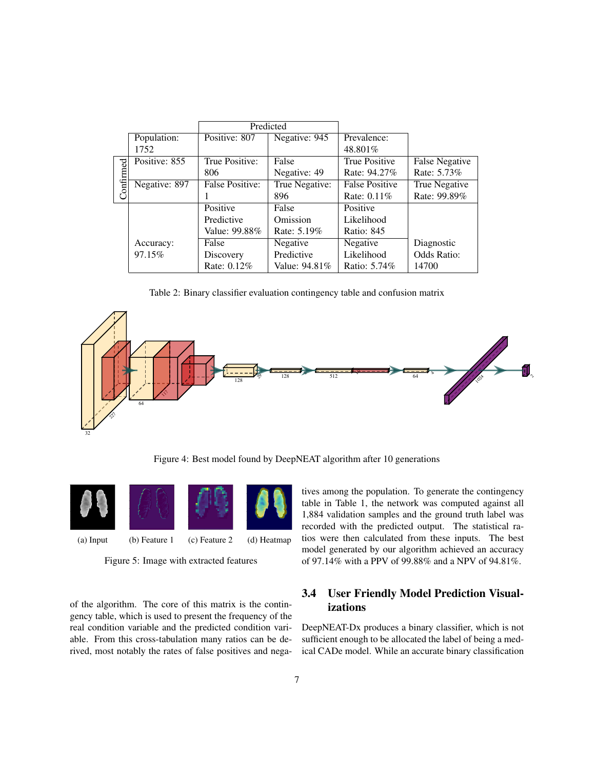|          |               | Predicted              |                |                       |                       |
|----------|---------------|------------------------|----------------|-----------------------|-----------------------|
|          | Population:   | Positive: 807          | Negative: 945  | Prevalence:           |                       |
|          | 1752          |                        |                | 48.801%               |                       |
| onfirmed | Positive: 855 | True Positive:         | False          | <b>True Positive</b>  | <b>False Negative</b> |
|          |               | 806                    | Negative: 49   | Rate: 94.27%          | Rate: 5.73%           |
|          | Negative: 897 | <b>False Positive:</b> | True Negative: | <b>False Positive</b> | True Negative         |
|          |               |                        | 896            | Rate: 0.11%           | Rate: 99.89%          |
|          |               | Positive               | False          | Positive              |                       |
|          |               | Predictive             | Omission       | Likelihood            |                       |
|          |               | Value: 99.88%          | Rate: 5.19%    | Ratio: 845            |                       |
|          | Accuracy:     | False                  | Negative       | Negative              | Diagnostic            |
|          | 97.15%        | Discovery              | Predictive     | Likelihood            | Odds Ratio:           |
|          |               | Rate: 0.12%            | Value: 94.81%  | Ratio: 5.74%          | 14700                 |

Table 2: Binary classifier evaluation contingency table and confusion matrix



Figure 4: Best model found by DeepNEAT algorithm after 10 generations

<span id="page-6-0"></span>

Figure 5: Image with extracted features

of the algorithm. The core of this matrix is the contingency table, which is used to present the frequency of the real condition variable and the predicted condition variable. From this cross-tabulation many ratios can be derived, most notably the rates of false positives and negatives among the population. To generate the contingency table in Table 1, the network was computed against all 1,884 validation samples and the ground truth label was recorded with the predicted output. The statistical ratios were then calculated from these inputs. The best model generated by our algorithm achieved an accuracy of 97.14% with a PPV of 99.88% and a NPV of 94.81%.

## 3.4 User Friendly Model Prediction Visualizations

DeepNEAT-Dx produces a binary classifier, which is not sufficient enough to be allocated the label of being a medical CADe model. While an accurate binary classification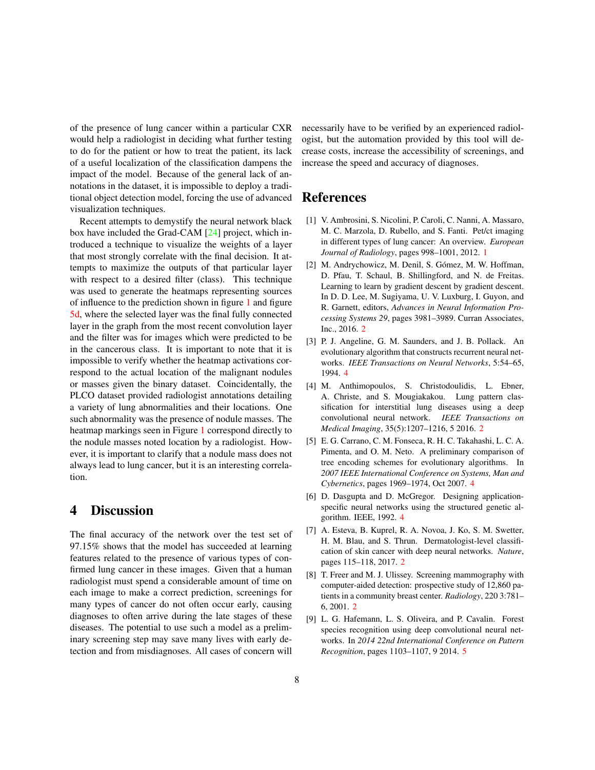<span id="page-7-9"></span>of the presence of lung cancer within a particular CXR would help a radiologist in deciding what further testing to do for the patient or how to treat the patient, its lack of a useful localization of the classification dampens the impact of the model. Because of the general lack of annotations in the dataset, it is impossible to deploy a traditional object detection model, forcing the use of advanced visualization techniques.

Recent attempts to demystify the neural network black box have included the Grad-CAM [\[24\]](#page-8-25) project, which introduced a technique to visualize the weights of a layer that most strongly correlate with the final decision. It attempts to maximize the outputs of that particular layer with respect to a desired filter (class). This technique was used to generate the heatmaps representing sources of influence to the prediction shown in figure [1](#page-0-0) and figure [5d,](#page-6-0) where the selected layer was the final fully connected layer in the graph from the most recent convolution layer and the filter was for images which were predicted to be in the cancerous class. It is important to note that it is impossible to verify whether the heatmap activations correspond to the actual location of the malignant nodules or masses given the binary dataset. Coincidentally, the PLCO dataset provided radiologist annotations detailing a variety of lung abnormalities and their locations. One such abnormality was the presence of nodule masses. The heatmap markings seen in Figure [1](#page-0-0) correspond directly to the nodule masses noted location by a radiologist. However, it is important to clarify that a nodule mass does not always lead to lung cancer, but it is an interesting correlation.

# 4 Discussion

The final accuracy of the network over the test set of 97.15% shows that the model has succeeded at learning features related to the presence of various types of confirmed lung cancer in these images. Given that a human radiologist must spend a considerable amount of time on each image to make a correct prediction, screenings for many types of cancer do not often occur early, causing diagnoses to often arrive during the late stages of these diseases. The potential to use such a model as a preliminary screening step may save many lives with early detection and from misdiagnoses. All cases of concern will necessarily have to be verified by an experienced radiologist, but the automation provided by this tool will decrease costs, increase the accessibility of screenings, and increase the speed and accuracy of diagnoses.

# References

- <span id="page-7-0"></span>[1] V. Ambrosini, S. Nicolini, P. Caroli, C. Nanni, A. Massaro, M. C. Marzola, D. Rubello, and S. Fanti. Pet/ct imaging in different types of lung cancer: An overview. *European Journal of Radiology*, pages 998–1001, 2012. [1](#page-0-1)
- <span id="page-7-2"></span>[2] M. Andrychowicz, M. Denil, S. Gómez, M. W. Hoffman, D. Pfau, T. Schaul, B. Shillingford, and N. de Freitas. Learning to learn by gradient descent by gradient descent. In D. D. Lee, M. Sugiyama, U. V. Luxburg, I. Guyon, and R. Garnett, editors, *Advances in Neural Information Processing Systems 29*, pages 3981–3989. Curran Associates, Inc., 2016. [2](#page-1-0)
- <span id="page-7-5"></span>[3] P. J. Angeline, G. M. Saunders, and J. B. Pollack. An evolutionary algorithm that constructs recurrent neural networks. *IEEE Transactions on Neural Networks*, 5:54–65, 1994. [4](#page-3-1)
- <span id="page-7-3"></span>[4] M. Anthimopoulos, S. Christodoulidis, L. Ebner, A. Christe, and S. Mougiakakou. Lung pattern classification for interstitial lung diseases using a deep convolutional neural network. *IEEE Transactions on Medical Imaging*, 35(5):1207–1216, 5 2016. [2](#page-1-0)
- <span id="page-7-7"></span>[5] E. G. Carrano, C. M. Fonseca, R. H. C. Takahashi, L. C. A. Pimenta, and O. M. Neto. A preliminary comparison of tree encoding schemes for evolutionary algorithms. In *2007 IEEE International Conference on Systems, Man and Cybernetics*, pages 1969–1974, Oct 2007. [4](#page-3-1)
- <span id="page-7-6"></span>[6] D. Dasgupta and D. McGregor. Designing applicationspecific neural networks using the structured genetic algorithm. IEEE, 1992. [4](#page-3-1)
- <span id="page-7-4"></span>[7] A. Esteva, B. Kuprel, R. A. Novoa, J. Ko, S. M. Swetter, H. M. Blau, and S. Thrun. Dermatologist-level classification of skin cancer with deep neural networks. *Nature*, pages 115–118, 2017. [2](#page-1-0)
- <span id="page-7-1"></span>[8] T. Freer and M. J. Ulissey. Screening mammography with computer-aided detection: prospective study of 12,860 patients in a community breast center. *Radiology*, 220 3:781– 6, 2001. [2](#page-1-0)
- <span id="page-7-8"></span>[9] L. G. Hafemann, L. S. Oliveira, and P. Cavalin. Forest species recognition using deep convolutional neural networks. In *2014 22nd International Conference on Pattern Recognition*, pages 1103–1107, 9 2014. [5](#page-4-1)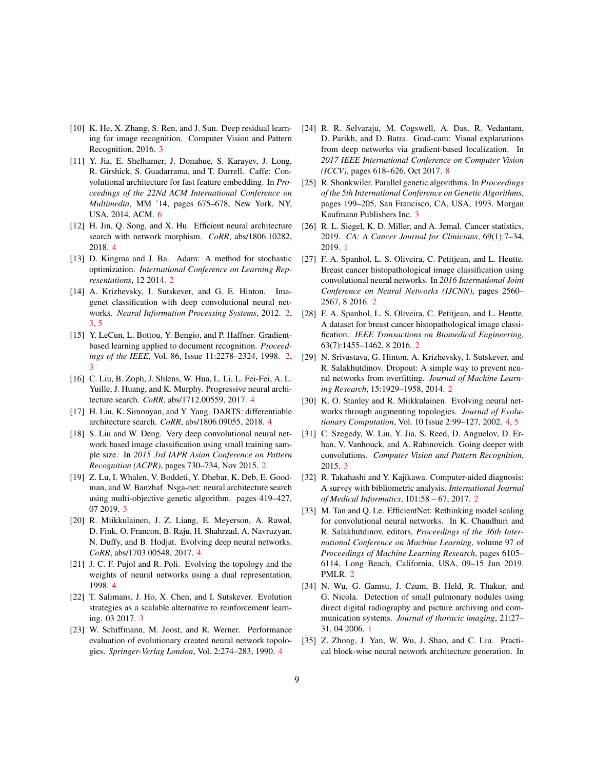- <span id="page-8-15"></span>[10] K. He, X. Zhang, S. Ren, and J. Sun. Deep residual learning for image recognition. Computer Vision and Pattern Recognition, 2016. [3](#page-2-0)
- <span id="page-8-24"></span>[11] Y. Jia, E. Shelhamer, J. Donahue, S. Karayev, J. Long, R. Girshick, S. Guadarrama, and T. Darrell. Caffe: Convolutional architecture for fast feature embedding. In *Proceedings of the 22Nd ACM International Conference on Multimedia*, MM '14, pages 675–678, New York, NY, USA, 2014. ACM. [6](#page-5-0)
- <span id="page-8-17"></span>[12] H. Jin, Q. Song, and X. Hu. Efficient neural architecture search with network morphism. *CoRR*, abs/1806.10282, 2018. [4](#page-3-1)
- <span id="page-8-7"></span>[13] D. Kingma and J. Ba. Adam: A method for stochastic optimization. *International Conference on Learning Representations*, 12 2014. [2](#page-1-0)
- <span id="page-8-10"></span>[14] A. Krizhevsky, I. Sutskever, and G. E. Hinton. Imagenet classification with deep convolutional neural networks. *Neural Information Processing Systems*, 2012. [2,](#page-1-0) [3,](#page-2-0) [5](#page-4-1)
- <span id="page-8-5"></span>[15] Y. LeCun, L. Bottou, Y. Bengio, and P. Haffner. Gradientbased learning applied to document recognition. *Proceedings of the IEEE*, Vol. 86, Issue 11:2278–2324, 1998. [2,](#page-1-0) [3](#page-2-0)
- <span id="page-8-16"></span>[16] C. Liu, B. Zoph, J. Shlens, W. Hua, L. Li, L. Fei-Fei, A. L. Yuille, J. Huang, and K. Murphy. Progressive neural architecture search. *CoRR*, abs/1712.00559, 2017. [4](#page-3-1)
- <span id="page-8-18"></span>[17] H. Liu, K. Simonyan, and Y. Yang. DARTS: differentiable architecture search. *CoRR*, abs/1806.09055, 2018. [4](#page-3-1)
- <span id="page-8-3"></span>[18] S. Liu and W. Deng. Very deep convolutional neural network based image classification using small training sample size. In *2015 3rd IAPR Asian Conference on Pattern Recognition (ACPR)*, pages 730–734, Nov 2015. [2](#page-1-0)
- <span id="page-8-11"></span>[19] Z. Lu, I. Whalen, V. Boddeti, Y. Dhebar, K. Deb, E. Goodman, and W. Banzhaf. Nsga-net: neural architecture search using multi-objective genetic algorithm. pages 419–427, 07 2019. [3](#page-2-0)
- <span id="page-8-22"></span>[20] R. Miikkulainen, J. Z. Liang, E. Meyerson, A. Rawal, D. Fink, O. Francon, B. Raju, H. Shahrzad, A. Navruzyan, N. Duffy, and B. Hodjat. Evolving deep neural networks. *CoRR*, abs/1703.00548, 2017. [4](#page-3-1)
- <span id="page-8-21"></span>[21] J. C. F. Pujol and R. Poli. Evolving the topology and the weights of neural networks using a dual representation, 1998. [4](#page-3-1)
- <span id="page-8-12"></span>[22] T. Salimans, J. Ho, X. Chen, and I. Sutskever. Evolution strategies as a scalable alternative to reinforcement learning. 03 2017. [3](#page-2-0)
- <span id="page-8-23"></span>[23] W. Schiffmann, M. Joost, and R. Werner. Performance evaluation of evolutionary created neural network topologies. *Springer-Verlag London*, Vol. 2:274–283, 1990. [4](#page-3-1)
- <span id="page-8-25"></span>[24] R. R. Selvaraju, M. Cogswell, A. Das, R. Vedantam, D. Parikh, and D. Batra. Grad-cam: Visual explanations from deep networks via gradient-based localization. In *2017 IEEE International Conference on Computer Vision (ICCV)*, pages 618–626, Oct 2017. [8](#page-7-9)
- <span id="page-8-13"></span>[25] R. Shonkwiler. Parallel genetic algorithms. In *Proceedings of the 5th International Conference on Genetic Algorithms*, pages 199–205, San Francisco, CA, USA, 1993. Morgan Kaufmann Publishers Inc. [3](#page-2-0)
- <span id="page-8-0"></span>[26] R. L. Siegel, K. D. Miller, and A. Jemal. Cancer statistics, 2019. *CA: A Cancer Journal for Clinicians*, 69(1):7–34, 2019. [1](#page-0-1)
- <span id="page-8-8"></span>[27] F. A. Spanhol, L. S. Oliveira, C. Petitiean, and L. Heutte. Breast cancer histopathological image classification using convolutional neural networks. In *2016 International Joint Conference on Neural Networks (IJCNN)*, pages 2560– 2567, 8 2016. [2](#page-1-0)
- <span id="page-8-9"></span>[28] F. A. Spanhol, L. S. Oliveira, C. Petitjean, and L. Heutte. A dataset for breast cancer histopathological image classification. *IEEE Transactions on Biomedical Engineering*, 63(7):1455–1462, 8 2016. [2](#page-1-0)
- <span id="page-8-6"></span>[29] N. Srivastava, G. Hinton, A. Krizhevsky, I. Sutskever, and R. Salakhutdinov. Dropout: A simple way to prevent neural networks from overfitting. *Journal of Machine Learning Research*, 15:1929–1958, 2014. [2](#page-1-0)
- <span id="page-8-19"></span>[30] K. O. Stanley and R. Miikkulainen. Evolving neural networks through augmenting topologies. *Journal of Evolutionary Computation*, Vol. 10 Issue 2:99–127, 2002. [4,](#page-3-1) [5](#page-4-1)
- <span id="page-8-14"></span>[31] C. Szegedy, W. Liu, Y. Jia, S. Reed, D. Anguelov, D. Erhan, V. Vanhouck, and A. Rabinovich. Going deeper with convolutions. *Computer Vision and Pattern Recognition*, 2015. [3](#page-2-0)
- <span id="page-8-2"></span>[32] R. Takahashi and Y. Kajikawa. Computer-aided diagnosis: A survey with bibliometric analysis. *International Journal of Medical Informatics*, 101:58 – 67, 2017. [2](#page-1-0)
- <span id="page-8-4"></span>[33] M. Tan and Q. Le. EfficientNet: Rethinking model scaling for convolutional neural networks. In K. Chaudhuri and R. Salakhutdinov, editors, *Proceedings of the 36th International Conference on Machine Learning*, volume 97 of *Proceedings of Machine Learning Research*, pages 6105– 6114, Long Beach, California, USA, 09–15 Jun 2019. PMLR. [2](#page-1-0)
- <span id="page-8-1"></span>[34] N. Wu, G. Gamsu, J. Czum, B. Held, R. Thakur, and G. Nicola. Detection of small pulmonary nodules using direct digital radiography and picture archiving and communication systems. *Journal of thoracic imaging*, 21:27– 31, 04 2006. [1](#page-0-1)
- <span id="page-8-20"></span>[35] Z. Zhong, J. Yan, W. Wu, J. Shao, and C. Liu. Practical block-wise neural network architecture generation. In